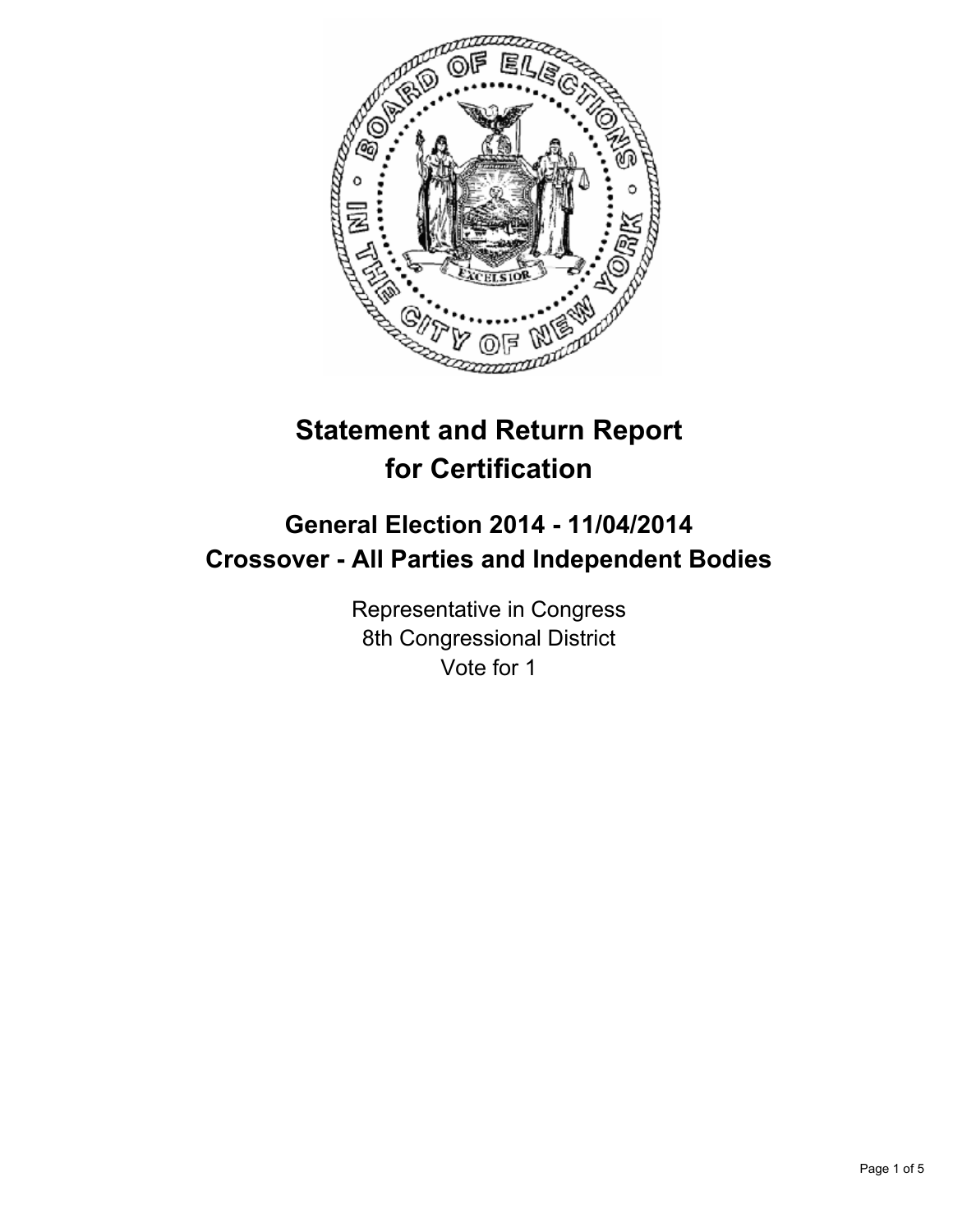

# **Statement and Return Report for Certification**

# **General Election 2014 - 11/04/2014 Crossover - All Parties and Independent Bodies**

Representative in Congress 8th Congressional District Vote for 1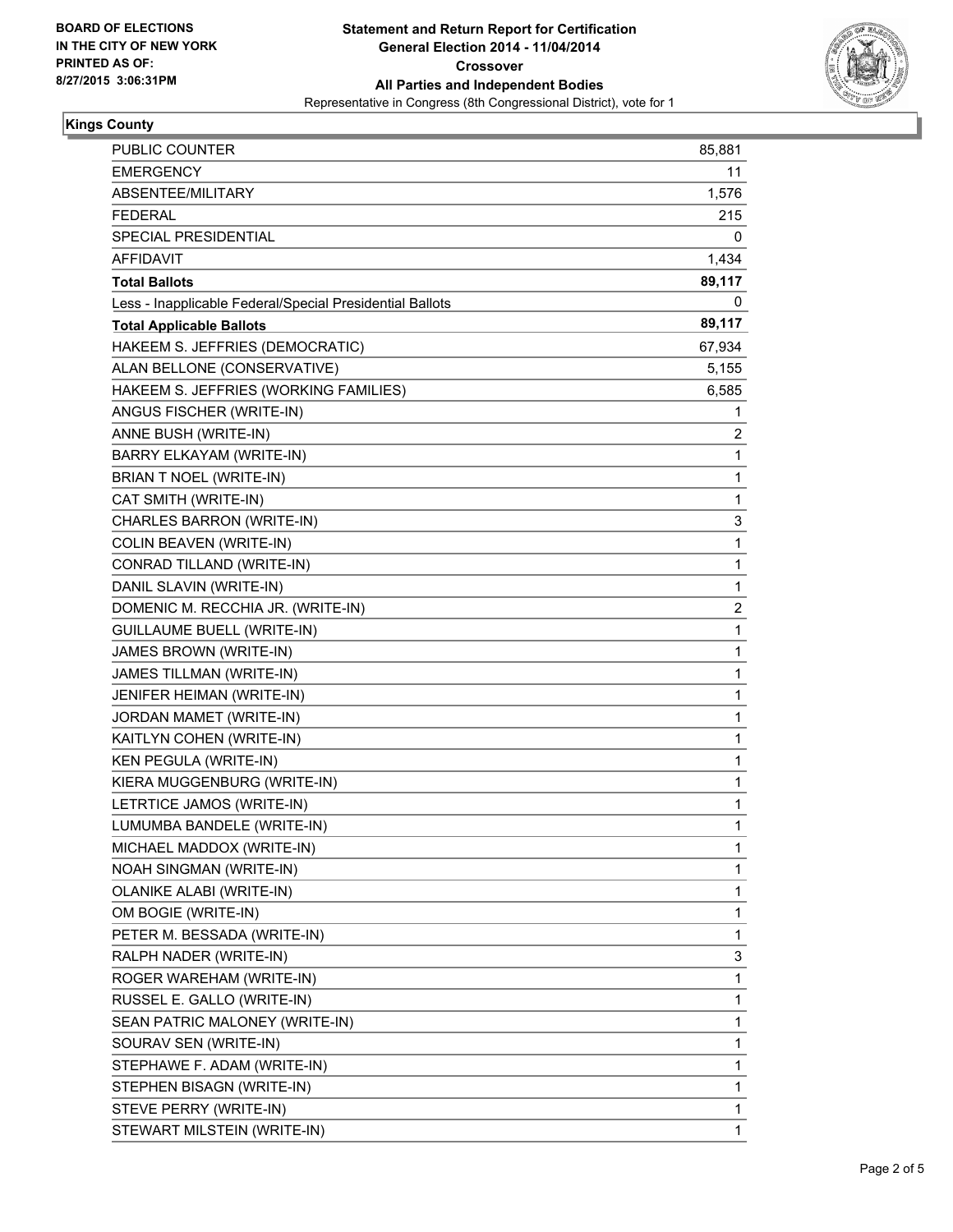

# **Kings County**

| PUBLIC COUNTER                                           | 85,881 |
|----------------------------------------------------------|--------|
| <b>EMERGENCY</b>                                         | 11     |
| ABSENTEE/MILITARY                                        | 1,576  |
| <b>FEDERAL</b>                                           | 215    |
| SPECIAL PRESIDENTIAL                                     | 0      |
| AFFIDAVIT                                                | 1,434  |
| <b>Total Ballots</b>                                     | 89,117 |
| Less - Inapplicable Federal/Special Presidential Ballots | 0      |
| <b>Total Applicable Ballots</b>                          | 89,117 |
| HAKEEM S. JEFFRIES (DEMOCRATIC)                          | 67,934 |
| ALAN BELLONE (CONSERVATIVE)                              | 5,155  |
| HAKEEM S. JEFFRIES (WORKING FAMILIES)                    | 6,585  |
| ANGUS FISCHER (WRITE-IN)                                 | 1      |
| ANNE BUSH (WRITE-IN)                                     | 2      |
| BARRY ELKAYAM (WRITE-IN)                                 | 1      |
| BRIAN T NOEL (WRITE-IN)                                  | 1      |
| CAT SMITH (WRITE-IN)                                     | 1      |
| CHARLES BARRON (WRITE-IN)                                | 3      |
| COLIN BEAVEN (WRITE-IN)                                  | 1      |
| CONRAD TILLAND (WRITE-IN)                                | 1      |
| DANIL SLAVIN (WRITE-IN)                                  | 1      |
| DOMENIC M. RECCHIA JR. (WRITE-IN)                        | 2      |
| <b>GUILLAUME BUELL (WRITE-IN)</b>                        | 1      |
| JAMES BROWN (WRITE-IN)                                   | 1      |
| JAMES TILLMAN (WRITE-IN)                                 | 1      |
| JENIFER HEIMAN (WRITE-IN)                                | 1      |
| JORDAN MAMET (WRITE-IN)                                  | 1      |
| KAITLYN COHEN (WRITE-IN)                                 | 1      |
| KEN PEGULA (WRITE-IN)                                    | 1      |
| KIERA MUGGENBURG (WRITE-IN)                              | 1      |
| LETRTICE JAMOS (WRITE-IN)                                | 1      |
| LUMUMBA BANDELE (WRITE-IN)                               | 1      |
| MICHAEL MADDOX (WRITE-IN)                                | 1      |
| <b>NOAH SINGMAN (WRITE-IN)</b>                           | 1      |
| OLANIKE ALABI (WRITE-IN)                                 | 1      |
| OM BOGIE (WRITE-IN)                                      | 1      |
| PETER M. BESSADA (WRITE-IN)                              | 1      |
| RALPH NADER (WRITE-IN)                                   | 3      |
| ROGER WAREHAM (WRITE-IN)                                 | 1      |
| RUSSEL E. GALLO (WRITE-IN)                               | 1      |
| SEAN PATRIC MALONEY (WRITE-IN)                           | 1      |
| SOURAV SEN (WRITE-IN)                                    | 1      |
| STEPHAWE F. ADAM (WRITE-IN)                              | 1      |
| STEPHEN BISAGN (WRITE-IN)                                | 1      |
| STEVE PERRY (WRITE-IN)                                   | 1      |
| STEWART MILSTEIN (WRITE-IN)                              | 1      |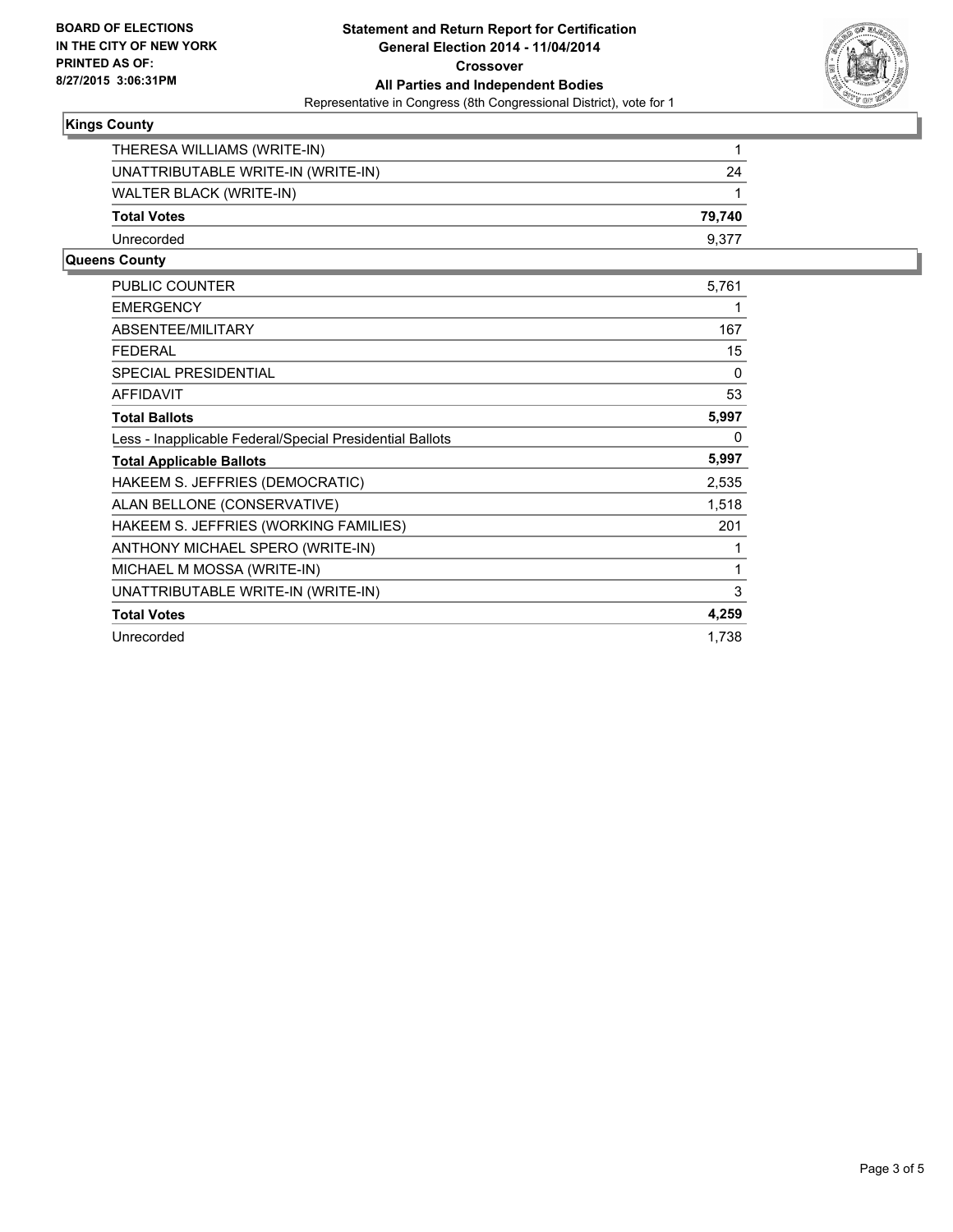

# **Kings County**

| THERESA WILLIAMS (WRITE-IN)        |        |
|------------------------------------|--------|
| UNATTRIBUTABLE WRITE-IN (WRITE-IN) | 24     |
| WALTER BLACK (WRITE-IN)            |        |
| <b>Total Votes</b>                 | 79.740 |
| Unrecorded                         | 9.377  |

### **Queens County**

| <b>PUBLIC COUNTER</b>                                    | 5,761 |
|----------------------------------------------------------|-------|
| <b>EMERGENCY</b>                                         | 1     |
| <b>ABSENTEE/MILITARY</b>                                 | 167   |
| <b>FEDERAL</b>                                           | 15    |
| <b>SPECIAL PRESIDENTIAL</b>                              | 0     |
| <b>AFFIDAVIT</b>                                         | 53    |
| <b>Total Ballots</b>                                     | 5,997 |
| Less - Inapplicable Federal/Special Presidential Ballots | 0     |
| <b>Total Applicable Ballots</b>                          | 5,997 |
| HAKEEM S. JEFFRIES (DEMOCRATIC)                          | 2,535 |
| ALAN BELLONE (CONSERVATIVE)                              | 1,518 |
| HAKEEM S. JEFFRIES (WORKING FAMILIES)                    | 201   |
| ANTHONY MICHAEL SPERO (WRITE-IN)                         | 1     |
| MICHAEL M MOSSA (WRITE-IN)                               | 1     |
| UNATTRIBUTABLE WRITE-IN (WRITE-IN)                       | 3     |
| <b>Total Votes</b>                                       | 4,259 |
| Unrecorded                                               | 1.738 |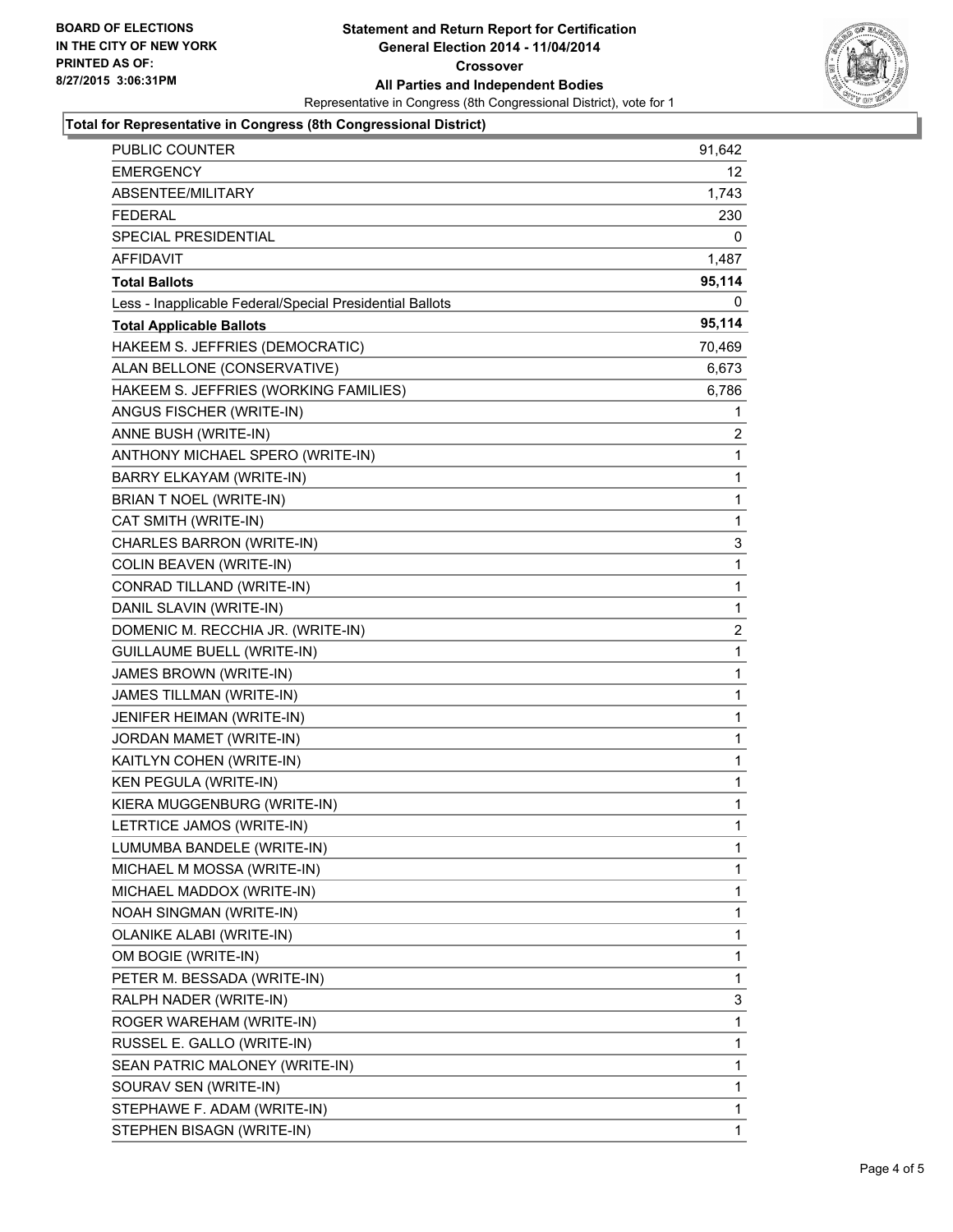

# **Total for Representative in Congress (8th Congressional District)**

| <b>PUBLIC COUNTER</b>                                    | 91,642       |
|----------------------------------------------------------|--------------|
| EMERGENCY                                                | 12           |
| ABSENTEE/MILITARY                                        | 1,743        |
| <b>FEDERAL</b>                                           | 230          |
| SPECIAL PRESIDENTIAL                                     | 0            |
| AFFIDAVIT                                                | 1,487        |
| Total Ballots                                            | 95,114       |
| Less - Inapplicable Federal/Special Presidential Ballots | 0            |
| <b>Total Applicable Ballots</b>                          | 95,114       |
| HAKEEM S. JEFFRIES (DEMOCRATIC)                          | 70,469       |
| ALAN BELLONE (CONSERVATIVE)                              | 6,673        |
| HAKEEM S. JEFFRIES (WORKING FAMILIES)                    | 6,786        |
| ANGUS FISCHER (WRITE-IN)                                 | 1            |
| ANNE BUSH (WRITE-IN)                                     | 2            |
| ANTHONY MICHAEL SPERO (WRITE-IN)                         | 1            |
| BARRY ELKAYAM (WRITE-IN)                                 | 1            |
| BRIAN T NOEL (WRITE-IN)                                  | 1            |
| CAT SMITH (WRITE-IN)                                     | 1            |
| CHARLES BARRON (WRITE-IN)                                | 3            |
| <b>COLIN BEAVEN (WRITE-IN)</b>                           | 1            |
| CONRAD TILLAND (WRITE-IN)                                | 1            |
| DANIL SLAVIN (WRITE-IN)                                  | $\mathbf{1}$ |
| DOMENIC M. RECCHIA JR. (WRITE-IN)                        | 2            |
| <b>GUILLAUME BUELL (WRITE-IN)</b>                        | 1            |
| JAMES BROWN (WRITE-IN)                                   | 1            |
| JAMES TILLMAN (WRITE-IN)                                 | 1            |
| JENIFER HEIMAN (WRITE-IN)                                | 1            |
| JORDAN MAMET (WRITE-IN)                                  | 1            |
| KAITLYN COHEN (WRITE-IN)                                 | 1            |
| KEN PEGULA (WRITE-IN)                                    | 1            |
| KIERA MUGGENBURG (WRITE-IN)                              | 1            |
| LETRTICE JAMOS (WRITE-IN)                                | 1            |
| LUMUMBA BANDELE (WRITE-IN)                               | 1            |
| MICHAEL M MOSSA (WRITE-IN)                               | 1            |
| MICHAEL MADDOX (WRITE-IN)                                | 1            |
| NOAH SINGMAN (WRITE-IN)                                  | 1            |
| OLANIKE ALABI (WRITE-IN)                                 | 1            |
| OM BOGIE (WRITE-IN)                                      | 1            |
| PETER M. BESSADA (WRITE-IN)                              | 1            |
| RALPH NADER (WRITE-IN)                                   | 3            |
| ROGER WAREHAM (WRITE-IN)                                 | 1            |
| RUSSEL E. GALLO (WRITE-IN)                               | 1            |
| SEAN PATRIC MALONEY (WRITE-IN)                           | 1            |
| SOURAV SEN (WRITE-IN)                                    | 1            |
| STEPHAWE F. ADAM (WRITE-IN)                              | 1            |
| STEPHEN BISAGN (WRITE-IN)                                | 1.           |
|                                                          |              |